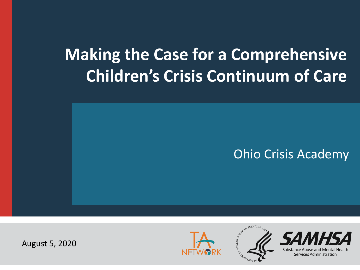# **Making the Case for a Comprehensive Children's Crisis Continuum of Care**

### Ohio Crisis Academy

August 5, 2020





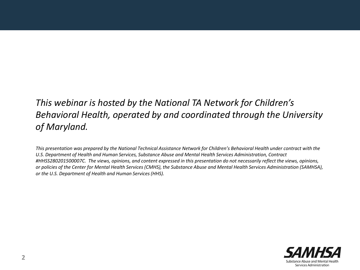#### *This webinar is hosted by the National TA Network for Children's Behavioral Health, operated by and coordinated through the University of Maryland.*

*This presentation was prepared by the National Technical Assistance Network for Children's Behavioral Health under contract with the U.S. Department of Health and Human Services, Substance Abuse and Mental Health Services Administration, Contract #HHSS280201500007C. The views, opinions, and content expressed in this presentation do not necessarily reflect the views, opinions, or policies of the Center for Mental Health Services (CMHS), the Substance Abuse and Mental Health Services Administration (SAMHSA), or the U.S. Department of Health and Human Services (HHS).*

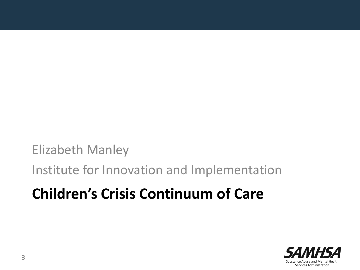Elizabeth Manley

Institute for Innovation and Implementation

## **Children's Crisis Continuum of Care**

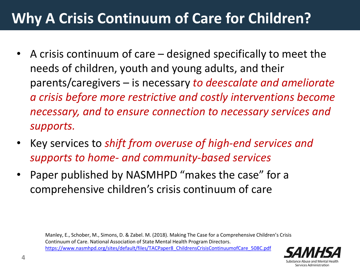## **Why A Crisis Continuum of Care for Children?**

- A crisis continuum of care designed specifically to meet the needs of children, youth and young adults, and their parents/caregivers – is necessary *to deescalate and ameliorate a crisis before more restrictive and costly interventions become necessary, and to ensure connection to necessary services and supports.*
- Key services to *shift from overuse of high-end services and supports to home- and community-based services*
- Paper published by NASMHPD "makes the case" for a comprehensive children's crisis continuum of care

Manley, E., Schober, M., Simons, D. & Zabel. M. (2018). Making The Case for a Comprehensive Children's Crisis Continuum of Care. National Association of State Mental Health Program Directors. [https://www.nasmhpd.org/sites/default/files/TACPaper8\\_ChildrensCrisisContinuumofCare\\_508C.pdf](https://www.nasmhpd.org/sites/default/files/TACPaper8_ChildrensCrisisContinuumofCare_508C.pdf)

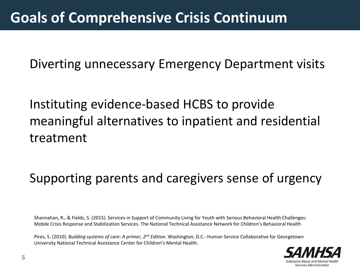Diverting unnecessary Emergency Department visits

Instituting evidence-based HCBS to provide meaningful alternatives to inpatient and residential treatment

## Supporting parents and caregivers sense of urgency

Shannahan, R., & Fields, S. (2015). Services in Support of Community Living for Youth with Serious Behavioral Health Challenges: Mobile Crisis Response and Stabilization Services. The National Technical Assistance Network for Children's Behavioral Health

Pires, S. (2010). *Building systems of care: A primer, 2nd Edition.* Washington, D.C.: Human Service Collaborative for Georgetown University National Technical Assistance Center for Children's Mental Health.

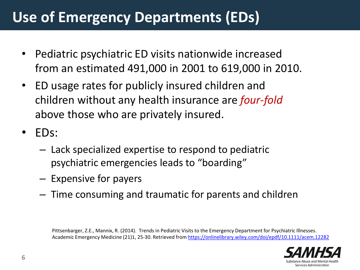## **Use of Emergency Departments (EDs)**

- Pediatric psychiatric ED visits nationwide increased from an estimated 491,000 in 2001 to 619,000 in 2010.
- ED usage rates for publicly insured children and children without any health insurance are *four-fold* above those who are privately insured.
- EDs:
	- Lack specialized expertise to respond to pediatric psychiatric emergencies leads to "boarding"
	- Expensive for payers
	- Time consuming and traumatic for parents and children

Pittsenbarger, Z.E., Mannix, R. (2014). Trends in Pediatric Visits to the Emergency Department for Psychiatric Illnesses. Academic Emergency Medicine (21)1, 25-30. Retrieved from<https://onlinelibrary.wiley.com/doi/epdf/10.1111/acem.12282>

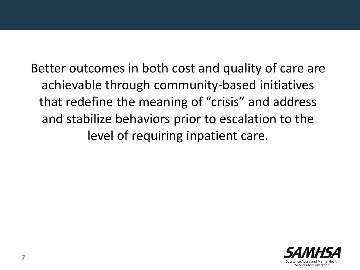Better outcomes in both cost and quality of care are achievable through community-based initiatives that redefine the meaning of "crisis" and address and stabilize behaviors prior to escalation to the level of requiring inpatient care.

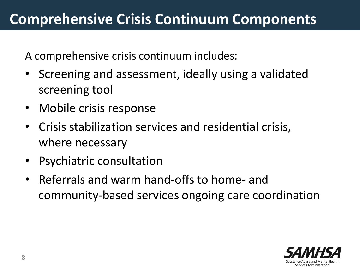A comprehensive crisis continuum includes:

- Screening and assessment, ideally using a validated screening tool
- Mobile crisis response
- Crisis stabilization services and residential crisis, where necessary
- Psychiatric consultation
- Referrals and warm hand-offs to home- and community-based services ongoing care coordination

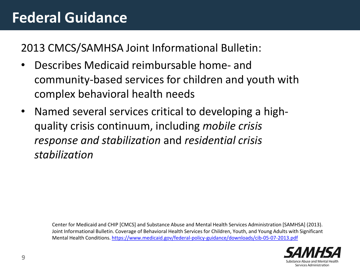## **Federal Guidance**

2013 CMCS/SAMHSA Joint Informational Bulletin:

- Describes Medicaid reimbursable home- and community-based services for children and youth with complex behavioral health needs
- Named several services critical to developing a highquality crisis continuum, including *mobile crisis response and stabilization* and *residential crisis stabilization*

Center for Medicaid and CHIP [CMCS] and Substance Abuse and Mental Health Services Administration [SAMHSA] (2013). Joint Informational Bulletin. Coverage of Behavioral Health Services for Children, Youth, and Young Adults with Significant Mental Health Conditions.<https://www.medicaid.gov/federal-policy-guidance/downloads/cib-05-07-2013.pdf>

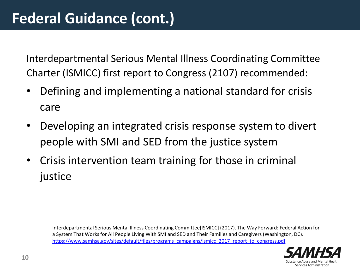Interdepartmental Serious Mental Illness Coordinating Committee Charter (ISMICC) first report to Congress (2107) recommended:

- Defining and implementing a national standard for crisis care
- Developing an integrated crisis response system to divert people with SMI and SED from the justice system
- Crisis intervention team training for those in criminal justice

Interdepartmental Serious Mental Illness Coordinating Committee[ISMICC] (2017). The Way Forward: Federal Action for a System That Works for All People Living With SMI and SED and Their Families and Caregivers (Washington, DC). [https://www.samhsa.gov/sites/default/files/programs\\_campaigns/ismicc\\_2017\\_report\\_to\\_congress.pdf](https://www.samhsa.gov/sites/default/files/programs_campaigns/ismicc_2017_report_to_congress.pdf)

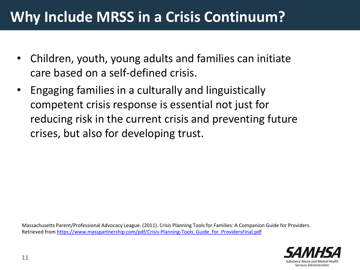## **Why Include MRSS in a Crisis Continuum?**

- Children, youth, young adults and families can initiate care based on a self-defined crisis.
- Engaging families in a culturally and linguistically competent crisis response is essential not just for reducing risk in the current crisis and preventing future crises, but also for developing trust.

Massachusetts Parent/Professional Advocacy League. (2011). Crisis Planning Tools for Families: A Companion Guide for Providers. Retrieved from [https://www.masspartnership.com/pdf/Crisis-Planning-Tools\\_Guide\\_for\\_ProvidersFinal.pdf](https://www.masspartnership.com/pdf/Crisis-Planning-Tools_Guide_for_ProvidersFinal.pdf)

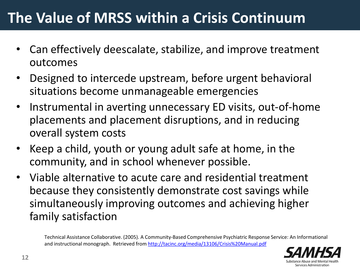## **The Value of MRSS within a Crisis Continuum**

- Can effectively deescalate, stabilize, and improve treatment outcomes
- Designed to intercede upstream, before urgent behavioral situations become unmanageable emergencies
- Instrumental in averting unnecessary ED visits, out-of-home placements and placement disruptions, and in reducing overall system costs
- Keep a child, youth or young adult safe at home, in the community, and in school whenever possible.
- Viable alternative to acute care and residential treatment because they consistently demonstrate cost savings while simultaneously improving outcomes and achieving higher family satisfaction

Technical Assistance Collaborative. (2005). A Community-Based Comprehensive Psychiatric Response Service: An Informational and instructional monograph. Retrieved from<http://tacinc.org/media/13106/Crisis%20Manual.pdf>

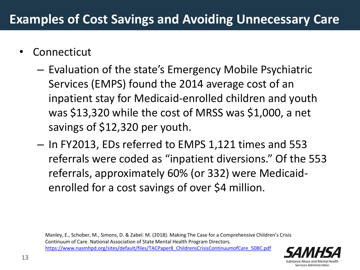- **Connecticut** 
	- Evaluation of the state's Emergency Mobile Psychiatric Services (EMPS) found the 2014 average cost of an inpatient stay for Medicaid-enrolled children and youth was \$13,320 while the cost of MRSS was \$1,000, a net savings of \$12,320 per youth.
	- In FY2013, EDs referred to EMPS 1,121 times and 553 referrals were coded as "inpatient diversions." Of the 553 referrals, approximately 60% (or 332) were Medicaidenrolled for a cost savings of over \$4 million.

Manley, E., Schober, M., Simons, D. & Zabel. M. (2018). Making The Case for a Comprehensive Children's Crisis Continuum of Care. National Association of State Mental Health Program Directors. [https://www.nasmhpd.org/sites/default/files/TACPaper8\\_ChildrensCrisisContinuumofCare\\_508C.pdf](https://www.nasmhpd.org/sites/default/files/TACPaper8_ChildrensCrisisContinuumofCare_508C.pdf)

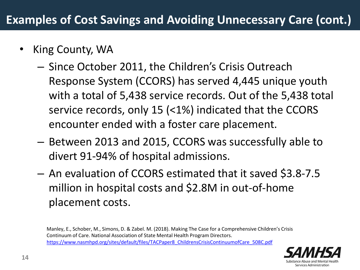- King County, WA
	- Since October 2011, the Children's Crisis Outreach Response System (CCORS) has served 4,445 unique youth with a total of 5,438 service records. Out of the 5,438 total service records, only 15 (<1%) indicated that the CCORS encounter ended with a foster care placement.
	- Between 2013 and 2015, CCORS was successfully able to divert 91-94% of hospital admissions.
	- An evaluation of CCORS estimated that it saved \$3.8-7.5 million in hospital costs and \$2.8M in out-of-home placement costs.

Manley, E., Schober, M., Simons, D. & Zabel. M. (2018). Making The Case for a Comprehensive Children's Crisis Continuum of Care. National Association of State Mental Health Program Directors. [https://www.nasmhpd.org/sites/default/files/TACPaper8\\_ChildrensCrisisContinuumofCare\\_508C.pdf](https://www.nasmhpd.org/sites/default/files/TACPaper8_ChildrensCrisisContinuumofCare_508C.pdf)

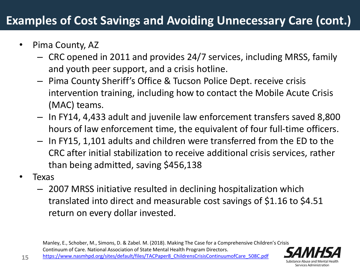### **Examples of Cost Savings and Avoiding Unnecessary Care (cont.)**

- Pima County, AZ
	- CRC opened in 2011 and provides 24/7 services, including MRSS, family and youth peer support, and a crisis hotline.
	- Pima County Sheriff's Office & Tucson Police Dept. receive crisis intervention training, including how to contact the Mobile Acute Crisis (MAC) teams.
	- In FY14, 4,433 adult and juvenile law enforcement transfers saved 8,800 hours of law enforcement time, the equivalent of four full-time officers.
	- In FY15, 1,101 adults and children were transferred from the ED to the CRC after initial stabilization to receive additional crisis services, rather than being admitted, saving \$456,138
- Texas
	- 2007 MRSS initiative resulted in declining hospitalization which translated into direct and measurable cost savings of \$1.16 to \$4.51 return on every dollar invested.

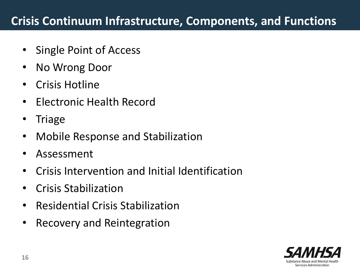#### **Crisis Continuum Infrastructure, Components, and Functions**

- Single Point of Access
- No Wrong Door
- Crisis Hotline
- Electronic Health Record
- **Triage**
- Mobile Response and Stabilization
- Assessment
- Crisis Intervention and Initial Identification
- Crisis Stabilization
- Residential Crisis Stabilization
- Recovery and Reintegration

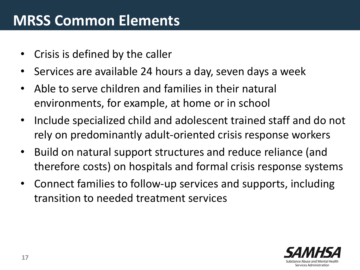## **MRSS Common Elements**

- Crisis is defined by the caller
- Services are available 24 hours a day, seven days a week
- Able to serve children and families in their natural environments, for example, at home or in school
- Include specialized child and adolescent trained staff and do not rely on predominantly adult-oriented crisis response workers
- Build on natural support structures and reduce reliance (and therefore costs) on hospitals and formal crisis response systems
- Connect families to follow-up services and supports, including transition to needed treatment services

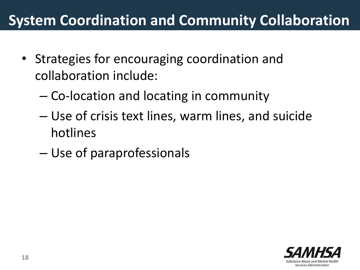## **System Coordination and Community Collaboration**

- Strategies for encouraging coordination and collaboration include:
	- Co-location and locating in community
	- Use of crisis text lines, warm lines, and suicide hotlines
	- Use of paraprofessionals

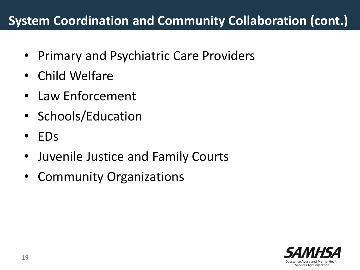### **System Coordination and Community Collaboration (cont.)**

- Primary and Psychiatric Care Providers
- Child Welfare
- Law Enforcement
- Schools/Education
- EDs
- Juvenile Justice and Family Courts
- Community Organizations

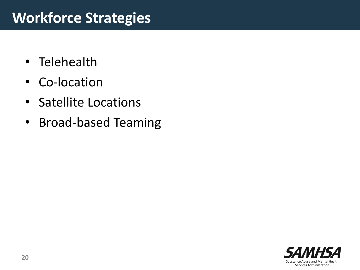## **Workforce Strategies**

- Telehealth
- Co-location
- Satellite Locations
- Broad-based Teaming

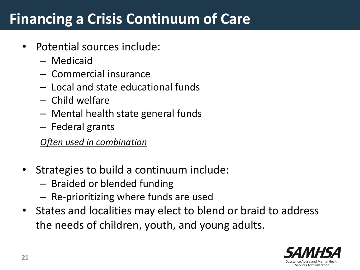## **Financing a Crisis Continuum of Care**

- Potential sources include:
	- Medicaid
	- Commercial insurance
	- Local and state educational funds
	- Child welfare
	- Mental health state general funds
	- Federal grants

*Often used in combination* 

- Strategies to build a continuum include:
	- Braided or blended funding
	- Re-prioritizing where funds are used
- States and localities may elect to blend or braid to address the needs of children, youth, and young adults.

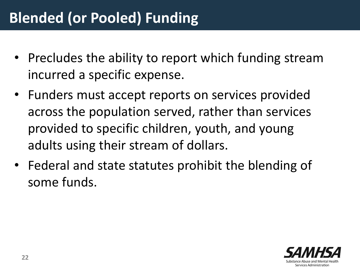- Precludes the ability to report which funding stream incurred a specific expense.
- Funders must accept reports on services provided across the population served, rather than services provided to specific children, youth, and young adults using their stream of dollars.
- Federal and state statutes prohibit the blending of some funds.

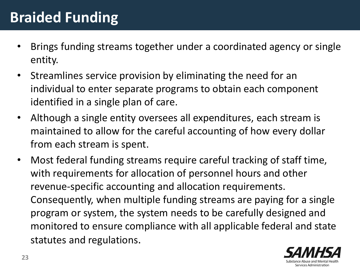## **Braided Funding**

- Brings funding streams together under a coordinated agency or single entity.
- Streamlines service provision by eliminating the need for an individual to enter separate programs to obtain each component identified in a single plan of care.
- Although a single entity oversees all expenditures, each stream is maintained to allow for the careful accounting of how every dollar from each stream is spent.
- Most federal funding streams require careful tracking of staff time, with requirements for allocation of personnel hours and other revenue-specific accounting and allocation requirements. Consequently, when multiple funding streams are paying for a single program or system, the system needs to be carefully designed and monitored to ensure compliance with all applicable federal and state statutes and regulations.

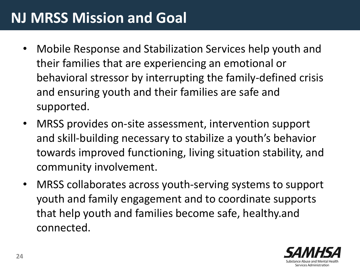## **NJ MRSS Mission and Goal**

- Mobile Response and Stabilization Services help youth and their families that are experiencing an emotional or behavioral stressor by interrupting the family-defined crisis and ensuring youth and their families are safe and supported.
- MRSS provides on-site assessment, intervention support and skill-building necessary to stabilize a youth's behavior towards improved functioning, living situation stability, and community involvement.
- MRSS collaborates across youth-serving systems to support youth and family engagement and to coordinate supports that help youth and families become safe, healthy.and connected.

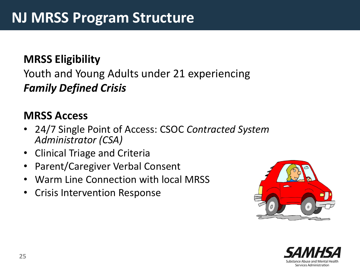#### **MRSS Eligibility**

### Youth and Young Adults under 21 experiencing *Family Defined Crisis*

#### **MRSS Access**

- 24/7 Single Point of Access: CSOC *Contracted System Administrator (CSA)*
- Clinical Triage and Criteria
- Parent/Caregiver Verbal Consent
- Warm Line Connection with local MRSS
- Crisis Intervention Response



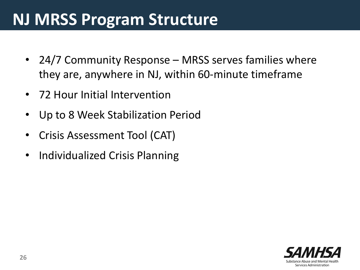# **NJ MRSS Program Structure**

- 24/7 Community Response MRSS serves families where they are, anywhere in NJ, within 60-minute timeframe
- 72 Hour Initial Intervention
- Up to 8 Week Stabilization Period
- Crisis Assessment Tool (CAT)
- Individualized Crisis Planning

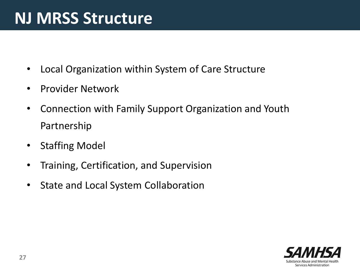# **NJ MRSS Structure**

- Local Organization within System of Care Structure
- Provider Network
- Connection with Family Support Organization and Youth Partnership
- Staffing Model
- Training, Certification, and Supervision
- State and Local System Collaboration

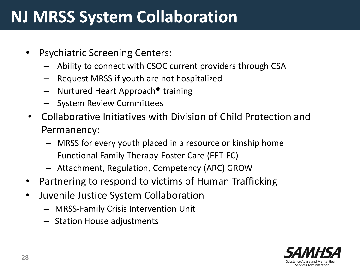# **NJ MRSS System Collaboration**

- Psychiatric Screening Centers:
	- Ability to connect with CSOC current providers through CSA
	- Request MRSS if youth are not hospitalized
	- Nurtured Heart Approach® training
	- System Review Committees
- Collaborative Initiatives with Division of Child Protection and Permanency:
	- MRSS for every youth placed in a resource or kinship home
	- Functional Family Therapy-Foster Care (FFT-FC)
	- Attachment, Regulation, Competency (ARC) GROW
- Partnering to respond to victims of Human Trafficking
- Juvenile Justice System Collaboration
	- MRSS-Family Crisis Intervention Unit
	- Station House adjustments

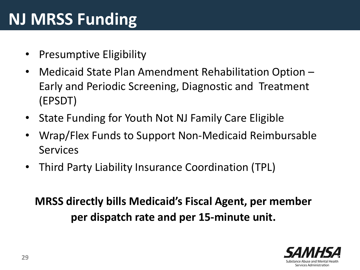# **NJ MRSS Funding**

- Presumptive Eligibility
- Medicaid State Plan Amendment Rehabilitation Option -Early and Periodic Screening, Diagnostic and Treatment (EPSDT)
- State Funding for Youth Not NJ Family Care Eligible
- Wrap/Flex Funds to Support Non-Medicaid Reimbursable Services
- Third Party Liability Insurance Coordination (TPL)

**MRSS directly bills Medicaid's Fiscal Agent, per member per dispatch rate and per 15-minute unit.**

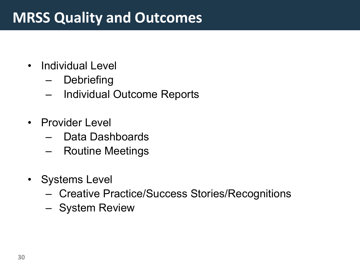## **MRSS Quality and Outcomes**

- Individual Level
	- Debriefing
	- Individual Outcome Reports
- Provider Level
	- Data Dashboards
	- Routine Meetings
- Systems Level
	- Creative Practice/Success Stories/Recognitions
	- System Review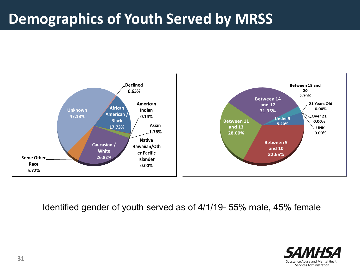## **Demographics of Youth Served by MRSS**

As of 4/1/19 N = 2864



Identified gender of youth served as of 4/1/19- 55% male, 45% female

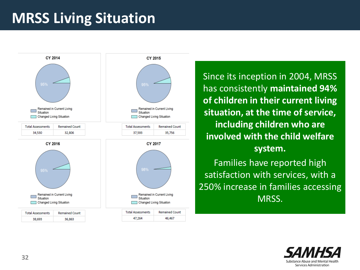## **MRSS Living Situation**



Since its inception in 2004, MRSS has consistently **maintained 94% of children in their current living situation, at the time of service, including children who are involved with the child welfare system.** 

Families have reported high satisfaction with services, with a 250% increase in families accessing MRSS.

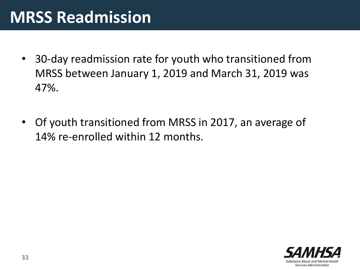# **MRSS Readmission**

- 30-day readmission rate for youth who transitioned from MRSS between January 1, 2019 and March 31, 2019 was 47%.
- Of youth transitioned from MRSS in 2017, an average of 14% re-enrolled within 12 months.

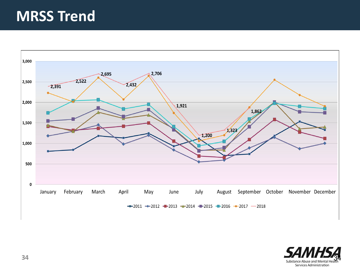## **MRSS Trend**



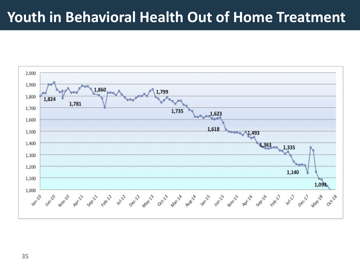### **Youth in Behavioral Health Out of Home Treatment**



**35 35**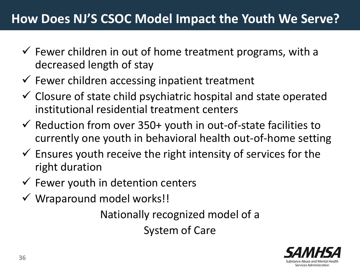### **How Does NJ'S CSOC Model Impact the Youth We Serve?**

- $\checkmark$  Fewer children in out of home treatment programs, with a decreased length of stay
- $\checkmark$  Fewer children accessing inpatient treatment
- $\checkmark$  Closure of state child psychiatric hospital and state operated institutional residential treatment centers
- $\checkmark$  Reduction from over 350+ youth in out-of-state facilities to currently one youth in behavioral health out-of-home setting
- $\checkmark$  Ensures youth receive the right intensity of services for the right duration
- $\checkmark$  Fewer youth in detention centers
- $\checkmark$  Wraparound model works!!

Nationally recognized model of a System of Care

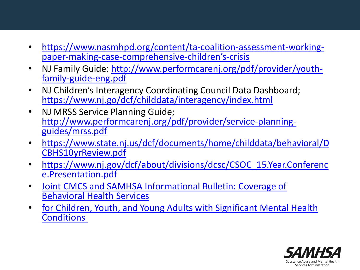- [https://www.nasmhpd.org/content/ta-coalition-assessment-working-](https://www.nasmhpd.org/content/ta-coalition-assessment-working-paper-making-case-comprehensive-children%E2%80%99s-crisis)<br>paper-making-case-comprehensive-children's-crisis
- [NJ Family Guide: http://www.performcarenj.org/pdf/provider/youth-](http://www.performcarenj.org/pdf/provider/youth-family-guide-eng.pdf)<br>family-guide-eng.pdf
- NJ Children's Interagency Coordinating Council Data Dashboard; <https://www.nj.go/dcf/childdata/interagency/index.html>
- NJ MRSS Service Planning Guide; [http://www.performcarenj.org/pdf/provider/service-planning-](http://www.performcarenj.org/pdf/provider/service-planning-guides/mrss.pdf) guides/mrss.pdf
- [https://www.state.nj.us/dcf/documents/home/childdata/behavioral/D](https://www.state.nj.us/dcf/documents/home/childdata/behavioral/DCBHS10yrReview.pdf) CBHS10yrReview.pdf
- [https://www.nj.gov/dcf/about/divisions/dcsc/CSOC\\_15.Year.Conferenc](https://www.nj.gov/dcf/about/divisions/dcsc/CSOC_15.Year.Conference.Presentation.pdf) e.Presentation.pdf
- Joint CMCS and SAMHSA Informational Bulletin: Coverage of Behavioral Health Services
- for Children, Youth, and Young Adults with Significant Mental Health **Conditions**